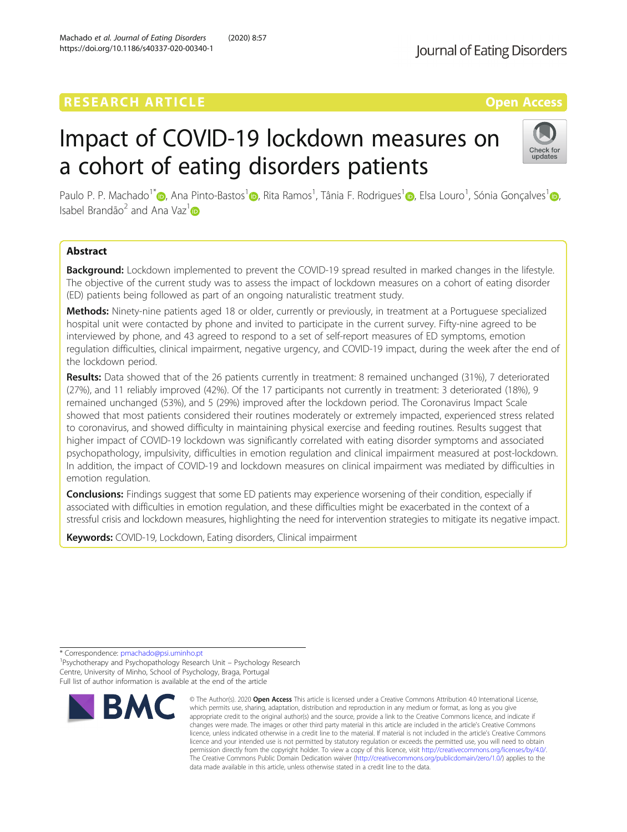https://doi.org/10.1186/s40337-020-00340-1

Machado et al. Journal of Eating Disorders (2020) 8:57

# **RESEARCH ARTICLE Example 2018 12:30 THE Open Access**

## Impact of COVID-19 lockdown measures on a cohort of eating disorders patients



### Abstract

Background: Lockdown implemented to prevent the COVID-19 spread resulted in marked changes in the lifestyle. The objective of the current study was to assess the impact of lockdown measures on a cohort of eating disorder (ED) patients being followed as part of an ongoing naturalistic treatment study.

Methods: Ninety-nine patients aged 18 or older, currently or previously, in treatment at a Portuguese specialized hospital unit were contacted by phone and invited to participate in the current survey. Fifty-nine agreed to be interviewed by phone, and 43 agreed to respond to a set of self-report measures of ED symptoms, emotion regulation difficulties, clinical impairment, negative urgency, and COVID-19 impact, during the week after the end of the lockdown period.

Results: Data showed that of the 26 patients currently in treatment: 8 remained unchanged (31%), 7 deteriorated (27%), and 11 reliably improved (42%). Of the 17 participants not currently in treatment: 3 deteriorated (18%), 9 remained unchanged (53%), and 5 (29%) improved after the lockdown period. The Coronavirus Impact Scale showed that most patients considered their routines moderately or extremely impacted, experienced stress related to coronavirus, and showed difficulty in maintaining physical exercise and feeding routines. Results suggest that higher impact of COVID-19 lockdown was significantly correlated with eating disorder symptoms and associated psychopathology, impulsivity, difficulties in emotion regulation and clinical impairment measured at post-lockdown. In addition, the impact of COVID-19 and lockdown measures on clinical impairment was mediated by difficulties in emotion regulation.

**Conclusions:** Findings suggest that some ED patients may experience worsening of their condition, especially if associated with difficulties in emotion regulation, and these difficulties might be exacerbated in the context of a stressful crisis and lockdown measures, highlighting the need for intervention strategies to mitigate its negative impact.

Keywords: COVID-19, Lockdown, Eating disorders, Clinical impairment

\* Correspondence: [pmachado@psi.uminho.pt](mailto:pmachado@psi.uminho.pt) <sup>1</sup>

<sup>1</sup>Psychotherapy and Psychopathology Research Unit - Psychology Research Centre, University of Minho, School of Psychology, Braga, Portugal Full list of author information is available at the end of the article





undate

<sup>©</sup> The Author(s), 2020 **Open Access** This article is licensed under a Creative Commons Attribution 4.0 International License, which permits use, sharing, adaptation, distribution and reproduction in any medium or format, as long as you give appropriate credit to the original author(s) and the source, provide a link to the Creative Commons licence, and indicate if changes were made. The images or other third party material in this article are included in the article's Creative Commons licence, unless indicated otherwise in a credit line to the material. If material is not included in the article's Creative Commons licence and your intended use is not permitted by statutory regulation or exceeds the permitted use, you will need to obtain permission directly from the copyright holder. To view a copy of this licence, visit [http://creativecommons.org/licenses/by/4.0/.](http://creativecommons.org/licenses/by/4.0/) The Creative Commons Public Domain Dedication waiver [\(http://creativecommons.org/publicdomain/zero/1.0/](http://creativecommons.org/publicdomain/zero/1.0/)) applies to the data made available in this article, unless otherwise stated in a credit line to the data.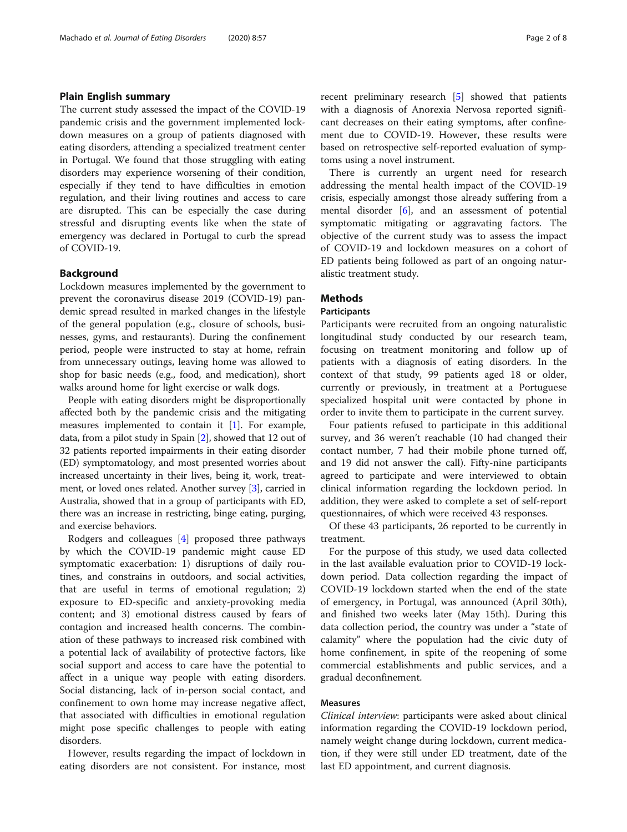#### Plain English summary

The current study assessed the impact of the COVID-19 pandemic crisis and the government implemented lockdown measures on a group of patients diagnosed with eating disorders, attending a specialized treatment center in Portugal. We found that those struggling with eating disorders may experience worsening of their condition, especially if they tend to have difficulties in emotion regulation, and their living routines and access to care are disrupted. This can be especially the case during stressful and disrupting events like when the state of emergency was declared in Portugal to curb the spread of COVID-19.

#### Background

Lockdown measures implemented by the government to prevent the coronavirus disease 2019 (COVID-19) pandemic spread resulted in marked changes in the lifestyle of the general population (e.g., closure of schools, businesses, gyms, and restaurants). During the confinement period, people were instructed to stay at home, refrain from unnecessary outings, leaving home was allowed to shop for basic needs (e.g., food, and medication), short walks around home for light exercise or walk dogs.

People with eating disorders might be disproportionally affected both by the pandemic crisis and the mitigating measures implemented to contain it [[1](#page-6-0)]. For example, data, from a pilot study in Spain [[2](#page-6-0)], showed that 12 out of 32 patients reported impairments in their eating disorder (ED) symptomatology, and most presented worries about increased uncertainty in their lives, being it, work, treatment, or loved ones related. Another survey [\[3](#page-6-0)], carried in Australia, showed that in a group of participants with ED, there was an increase in restricting, binge eating, purging, and exercise behaviors.

Rodgers and colleagues [[4\]](#page-6-0) proposed three pathways by which the COVID-19 pandemic might cause ED symptomatic exacerbation: 1) disruptions of daily routines, and constrains in outdoors, and social activities, that are useful in terms of emotional regulation; 2) exposure to ED-specific and anxiety-provoking media content; and 3) emotional distress caused by fears of contagion and increased health concerns. The combination of these pathways to increased risk combined with a potential lack of availability of protective factors, like social support and access to care have the potential to affect in a unique way people with eating disorders. Social distancing, lack of in-person social contact, and confinement to own home may increase negative affect, that associated with difficulties in emotional regulation might pose specific challenges to people with eating disorders.

However, results regarding the impact of lockdown in eating disorders are not consistent. For instance, most recent preliminary research [\[5\]](#page-6-0) showed that patients with a diagnosis of Anorexia Nervosa reported significant decreases on their eating symptoms, after confinement due to COVID-19. However, these results were based on retrospective self-reported evaluation of symptoms using a novel instrument.

There is currently an urgent need for research addressing the mental health impact of the COVID-19 crisis, especially amongst those already suffering from a mental disorder [\[6](#page-6-0)], and an assessment of potential symptomatic mitigating or aggravating factors. The objective of the current study was to assess the impact of COVID-19 and lockdown measures on a cohort of ED patients being followed as part of an ongoing naturalistic treatment study.

#### Methods

#### Participants

Participants were recruited from an ongoing naturalistic longitudinal study conducted by our research team, focusing on treatment monitoring and follow up of patients with a diagnosis of eating disorders. In the context of that study, 99 patients aged 18 or older, currently or previously, in treatment at a Portuguese specialized hospital unit were contacted by phone in order to invite them to participate in the current survey.

Four patients refused to participate in this additional survey, and 36 weren't reachable (10 had changed their contact number, 7 had their mobile phone turned off, and 19 did not answer the call). Fifty-nine participants agreed to participate and were interviewed to obtain clinical information regarding the lockdown period. In addition, they were asked to complete a set of self-report questionnaires, of which were received 43 responses.

Of these 43 participants, 26 reported to be currently in treatment.

For the purpose of this study, we used data collected in the last available evaluation prior to COVID-19 lockdown period. Data collection regarding the impact of COVID-19 lockdown started when the end of the state of emergency, in Portugal, was announced (April 30th), and finished two weeks later (May 15th). During this data collection period, the country was under a "state of calamity" where the population had the civic duty of home confinement, in spite of the reopening of some commercial establishments and public services, and a gradual deconfinement.

#### Measures

Clinical interview: participants were asked about clinical information regarding the COVID-19 lockdown period, namely weight change during lockdown, current medication, if they were still under ED treatment, date of the last ED appointment, and current diagnosis.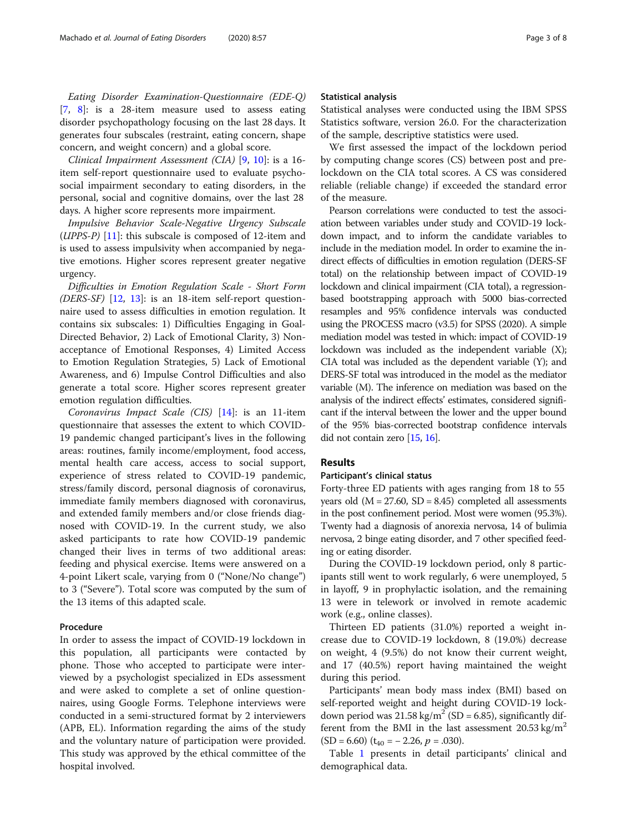Eating Disorder Examination-Questionnaire (EDE-Q) [[7,](#page-6-0) [8\]](#page-6-0): is a 28-item measure used to assess eating disorder psychopathology focusing on the last 28 days. It generates four subscales (restraint, eating concern, shape concern, and weight concern) and a global score.

Clinical Impairment Assessment (CIA)  $[9, 10]$  $[9, 10]$  $[9, 10]$  $[9, 10]$  $[9, 10]$ : is a 16item self-report questionnaire used to evaluate psychosocial impairment secondary to eating disorders, in the personal, social and cognitive domains, over the last 28 days. A higher score represents more impairment.

Impulsive Behavior Scale-Negative Urgency Subscale (UPPS-P) [\[11](#page-7-0)]: this subscale is composed of 12-item and is used to assess impulsivity when accompanied by negative emotions. Higher scores represent greater negative urgency.

Difficulties in Emotion Regulation Scale - Short Form (DERS-SF)  $[12, 13]$  $[12, 13]$  $[12, 13]$  $[12, 13]$ : is an 18-item self-report questionnaire used to assess difficulties in emotion regulation. It contains six subscales: 1) Difficulties Engaging in Goal-Directed Behavior, 2) Lack of Emotional Clarity, 3) Nonacceptance of Emotional Responses, 4) Limited Access to Emotion Regulation Strategies, 5) Lack of Emotional Awareness, and 6) Impulse Control Difficulties and also generate a total score. Higher scores represent greater emotion regulation difficulties.

Coronavirus Impact Scale (CIS) [\[14](#page-7-0)]: is an 11-item questionnaire that assesses the extent to which COVID-19 pandemic changed participant's lives in the following areas: routines, family income/employment, food access, mental health care access, access to social support, experience of stress related to COVID-19 pandemic, stress/family discord, personal diagnosis of coronavirus, immediate family members diagnosed with coronavirus, and extended family members and/or close friends diagnosed with COVID-19. In the current study, we also asked participants to rate how COVID-19 pandemic changed their lives in terms of two additional areas: feeding and physical exercise. Items were answered on a 4-point Likert scale, varying from 0 ("None/No change") to 3 ("Severe"). Total score was computed by the sum of the 13 items of this adapted scale.

#### Procedure

In order to assess the impact of COVID-19 lockdown in this population, all participants were contacted by phone. Those who accepted to participate were interviewed by a psychologist specialized in EDs assessment and were asked to complete a set of online questionnaires, using Google Forms. Telephone interviews were conducted in a semi-structured format by 2 interviewers (APB, EL). Information regarding the aims of the study and the voluntary nature of participation were provided. This study was approved by the ethical committee of the hospital involved.

Statistical analyses were conducted using the IBM SPSS Statistics software, version 26.0. For the characterization of the sample, descriptive statistics were used.

We first assessed the impact of the lockdown period by computing change scores (CS) between post and prelockdown on the CIA total scores. A CS was considered reliable (reliable change) if exceeded the standard error of the measure.

Pearson correlations were conducted to test the association between variables under study and COVID-19 lockdown impact, and to inform the candidate variables to include in the mediation model. In order to examine the indirect effects of difficulties in emotion regulation (DERS-SF total) on the relationship between impact of COVID-19 lockdown and clinical impairment (CIA total), a regressionbased bootstrapping approach with 5000 bias-corrected resamples and 95% confidence intervals was conducted using the PROCESS macro (v3.5) for SPSS (2020). A simple mediation model was tested in which: impact of COVID-19 lockdown was included as the independent variable (X); CIA total was included as the dependent variable (Y); and DERS-SF total was introduced in the model as the mediator variable (M). The inference on mediation was based on the analysis of the indirect effects' estimates, considered significant if the interval between the lower and the upper bound of the 95% bias-corrected bootstrap confidence intervals did not contain zero [[15](#page-7-0), [16](#page-7-0)].

#### Results

#### Participant's clinical status

Forty-three ED patients with ages ranging from 18 to 55 years old  $(M = 27.60, SD = 8.45)$  completed all assessments in the post confinement period. Most were women (95.3%). Twenty had a diagnosis of anorexia nervosa, 14 of bulimia nervosa, 2 binge eating disorder, and 7 other specified feeding or eating disorder.

During the COVID-19 lockdown period, only 8 participants still went to work regularly, 6 were unemployed, 5 in layoff, 9 in prophylactic isolation, and the remaining 13 were in telework or involved in remote academic work (e.g., online classes).

Thirteen ED patients (31.0%) reported a weight increase due to COVID-19 lockdown, 8 (19.0%) decrease on weight, 4 (9.5%) do not know their current weight, and 17 (40.5%) report having maintained the weight during this period.

Participants' mean body mass index (BMI) based on self-reported weight and height during COVID-19 lockdown period was  $21.58 \text{ kg/m}^2$  (SD = 6.85), significantly different from the BMI in the last assessment  $20.53 \text{ kg/m}^2$  $(SD = 6.60)$  (t<sub>40</sub> = - 2.26, *p* = .030).

Table [1](#page-3-0) presents in detail participants' clinical and demographical data.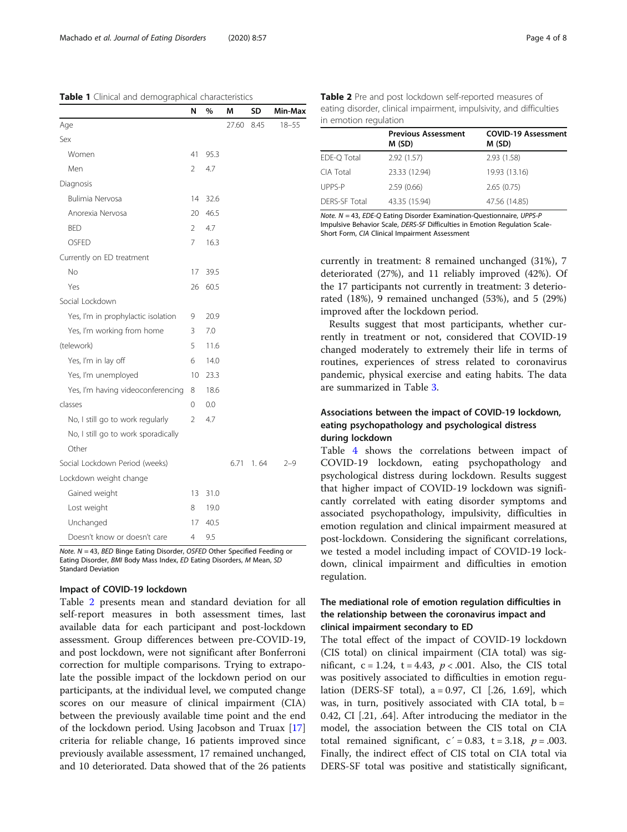<span id="page-3-0"></span>Table 1 Clinical and demographical characteristics

|                                     | N              | %    | М     | SD   | Min-Max   |
|-------------------------------------|----------------|------|-------|------|-----------|
| Age                                 |                |      | 27.60 | 8.45 | $18 - 55$ |
| Sex                                 |                |      |       |      |           |
| Women                               | 41             | 95.3 |       |      |           |
| Men                                 | $\overline{2}$ | 4.7  |       |      |           |
| Diagnosis                           |                |      |       |      |           |
| Bulimia Nervosa                     | 14             | 32.6 |       |      |           |
| Anorexia Nervosa                    | 20             | 46.5 |       |      |           |
| <b>BED</b>                          | $\overline{2}$ | 4.7  |       |      |           |
| <b>OSFED</b>                        | 7              | 16.3 |       |      |           |
| Currently on ED treatment           |                |      |       |      |           |
| No                                  | 17             | 39.5 |       |      |           |
| Yes                                 | 26             | 60.5 |       |      |           |
| Social Lockdown                     |                |      |       |      |           |
| Yes, I'm in prophylactic isolation  | 9              | 20.9 |       |      |           |
| Yes, I'm working from home          | 3              | 7.0  |       |      |           |
| (telework)                          | 5              | 11.6 |       |      |           |
| Yes, I'm in lay off                 | 6              | 14.0 |       |      |           |
| Yes, I'm unemployed                 | 10             | 23.3 |       |      |           |
| Yes, I'm having videoconferencing   | 8              | 18.6 |       |      |           |
| classes                             | 0              | 0.0  |       |      |           |
| No, I still go to work regularly    | $\mathcal{P}$  | 4.7  |       |      |           |
| No, I still go to work sporadically |                |      |       |      |           |
| Other                               |                |      |       |      |           |
| Social Lockdown Period (weeks)      |                |      | 6.71  | 1.64 | $2 - 9$   |
| Lockdown weight change              |                |      |       |      |           |
| Gained weight                       | 13             | 31.0 |       |      |           |
| Lost weight                         | 8              | 19.0 |       |      |           |
| Unchanged                           | 17             | 40.5 |       |      |           |
| Doesn't know or doesn't care        | $\overline{4}$ | 9.5  |       |      |           |

Note. N = 43, BED Binge Eating Disorder, OSFED Other Specified Feeding or Eating Disorder, BMI Body Mass Index, ED Eating Disorders, M Mean, SD Standard Deviation

#### Impact of COVID-19 lockdown

Table 2 presents mean and standard deviation for all self-report measures in both assessment times, last available data for each participant and post-lockdown assessment. Group differences between pre-COVID-19, and post lockdown, were not significant after Bonferroni correction for multiple comparisons. Trying to extrapolate the possible impact of the lockdown period on our participants, at the individual level, we computed change scores on our measure of clinical impairment (CIA) between the previously available time point and the end of the lockdown period. Using Jacobson and Truax [[17](#page-7-0)] criteria for reliable change, 16 patients improved since previously available assessment, 17 remained unchanged, and 10 deteriorated. Data showed that of the 26 patients

Table 2 Pre and post lockdown self-reported measures of eating disorder, clinical impairment, impulsivity, and difficulties in emotion regulation

|                      | <b>Previous Assessment</b><br>M (SD) | <b>COVID-19 Assessment</b><br>M (SD) |
|----------------------|--------------------------------------|--------------------------------------|
| EDE-O Total          | 2.92(1.57)                           | 2.93(1.58)                           |
| CIA Total            | 23.33 (12.94)                        | 19.93 (13.16)                        |
| UPPS-P               | 2.59(0.66)                           | 2.65(0.75)                           |
| <b>DERS-SF Total</b> | 43.35 (15.94)                        | 47.56 (14.85)                        |

Note. N = 43, EDE-Q Eating Disorder Examination-Questionnaire, UPPS-P Impulsive Behavior Scale, DERS-SF Difficulties in Emotion Regulation Scale-Short Form, CIA Clinical Impairment Assessment

currently in treatment: 8 remained unchanged (31%), 7 deteriorated (27%), and 11 reliably improved (42%). Of the 17 participants not currently in treatment: 3 deteriorated (18%), 9 remained unchanged (53%), and 5 (29%) improved after the lockdown period.

Results suggest that most participants, whether currently in treatment or not, considered that COVID-19 changed moderately to extremely their life in terms of routines, experiences of stress related to coronavirus pandemic, physical exercise and eating habits. The data are summarized in Table [3.](#page-4-0)

#### Associations between the impact of COVID-19 lockdown, eating psychopathology and psychological distress during lockdown

Table [4](#page-5-0) shows the correlations between impact of COVID-19 lockdown, eating psychopathology and psychological distress during lockdown. Results suggest that higher impact of COVID-19 lockdown was significantly correlated with eating disorder symptoms and associated psychopathology, impulsivity, difficulties in emotion regulation and clinical impairment measured at post-lockdown. Considering the significant correlations, we tested a model including impact of COVID-19 lockdown, clinical impairment and difficulties in emotion regulation.

### The mediational role of emotion regulation difficulties in the relationship between the coronavirus impact and clinical impairment secondary to ED

The total effect of the impact of COVID-19 lockdown (CIS total) on clinical impairment (CIA total) was significant,  $c = 1.24$ ,  $t = 4.43$ ,  $p < .001$ . Also, the CIS total was positively associated to difficulties in emotion regulation (DERS-SF total),  $a = 0.97$ , CI [.26, 1.69], which was, in turn, positively associated with CIA total,  $b =$ 0.42, CI [.21, .64]. After introducing the mediator in the model, the association between the CIS total on CIA total remained significant,  $c' = 0.83$ ,  $t = 3.18$ ,  $p = .003$ . Finally, the indirect effect of CIS total on CIA total via DERS-SF total was positive and statistically significant,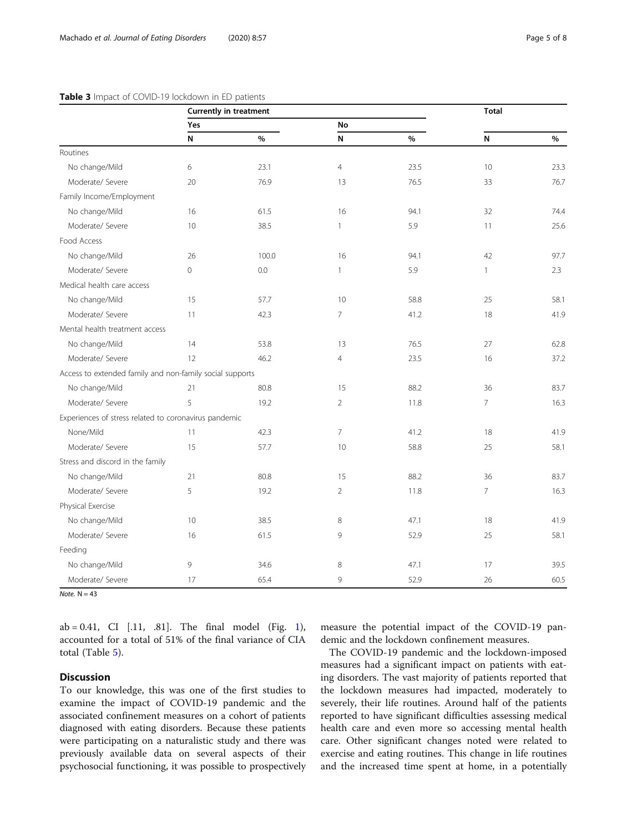<span id="page-4-0"></span>

|                                                          |                           | <b>Currently in treatment</b> |                |               | <b>Total</b>   |      |
|----------------------------------------------------------|---------------------------|-------------------------------|----------------|---------------|----------------|------|
|                                                          | Yes                       |                               | No             |               |                |      |
|                                                          | $\boldsymbol{\mathsf{N}}$ | %                             | N              | $\frac{9}{6}$ | N              | %    |
| Routines                                                 |                           |                               |                |               |                |      |
| No change/Mild                                           | 6                         | 23.1                          | $\overline{4}$ | 23.5          | 10             | 23.3 |
| Moderate/ Severe                                         | 20                        | 76.9                          | 13             | 76.5          | 33             | 76.7 |
| Family Income/Employment                                 |                           |                               |                |               |                |      |
| No change/Mild                                           | 16                        | 61.5                          | 16             | 94.1          | 32             | 74.4 |
| Moderate/ Severe                                         | 10                        | 38.5                          | $\mathbf{1}$   | 5.9           | 11             | 25.6 |
| Food Access                                              |                           |                               |                |               |                |      |
| No change/Mild                                           | 26                        | 100.0                         | 16             | 94.1          | 42             | 97.7 |
| Moderate/ Severe                                         | $\circ$                   | 0.0                           | $\mathbf{1}$   | 5.9           | 1              | 2.3  |
| Medical health care access                               |                           |                               |                |               |                |      |
| No change/Mild                                           | 15                        | 57.7                          | 10             | 58.8          | 25             | 58.1 |
| Moderate/ Severe                                         | 11                        | 42.3                          | $\overline{7}$ | 41.2          | 18             | 41.9 |
| Mental health treatment access                           |                           |                               |                |               |                |      |
| No change/Mild                                           | 14                        | 53.8                          | 13             | 76.5          | 27             | 62.8 |
| Moderate/ Severe                                         | 12                        | 46.2                          | $\overline{4}$ | 23.5          | 16             | 37.2 |
| Access to extended family and non-family social supports |                           |                               |                |               |                |      |
| No change/Mild                                           | 21                        | 80.8                          | 15             | 88.2          | 36             | 83.7 |
| Moderate/ Severe                                         | 5                         | 19.2                          | $\overline{2}$ | 11.8          | $\overline{7}$ | 16.3 |
| Experiences of stress related to coronavirus pandemic    |                           |                               |                |               |                |      |
| None/Mild                                                | 11                        | 42.3                          | $\overline{7}$ | 41.2          | 18             | 41.9 |
| Moderate/ Severe                                         | 15                        | 57.7                          | 10             | 58.8          | 25             | 58.1 |
| Stress and discord in the family                         |                           |                               |                |               |                |      |
| No change/Mild                                           | 21                        | 80.8                          | 15             | 88.2          | 36             | 83.7 |
| Moderate/ Severe                                         | 5                         | 19.2                          | $\overline{2}$ | 11.8          | $\overline{7}$ | 16.3 |
| Physical Exercise                                        |                           |                               |                |               |                |      |
| No change/Mild                                           | 10                        | 38.5                          | 8              | 47.1          | 18             | 41.9 |
| Moderate/ Severe                                         | 16                        | 61.5                          | 9              | 52.9          | 25             | 58.1 |
| Feeding                                                  |                           |                               |                |               |                |      |
| No change/Mild                                           | 9                         | 34.6                          | $\,8\,$        | 47.1          | 17             | 39.5 |
| Moderate/ Severe                                         | 17                        | 65.4                          | 9              | 52.9          | 26             | 60.5 |

Note.  $N = 43$ 

 $ab = 0.41$  $ab = 0.41$ , CI [.11, .81]. The final model (Fig. 1), accounted for a total of 51% of the final variance of CIA total (Table [5](#page-6-0)).

#### Discussion

To our knowledge, this was one of the first studies to examine the impact of COVID-19 pandemic and the associated confinement measures on a cohort of patients diagnosed with eating disorders. Because these patients were participating on a naturalistic study and there was previously available data on several aspects of their psychosocial functioning, it was possible to prospectively

measure the potential impact of the COVID-19 pandemic and the lockdown confinement measures.

The COVID-19 pandemic and the lockdown-imposed measures had a significant impact on patients with eating disorders. The vast majority of patients reported that the lockdown measures had impacted, moderately to severely, their life routines. Around half of the patients reported to have significant difficulties assessing medical health care and even more so accessing mental health care. Other significant changes noted were related to exercise and eating routines. This change in life routines and the increased time spent at home, in a potentially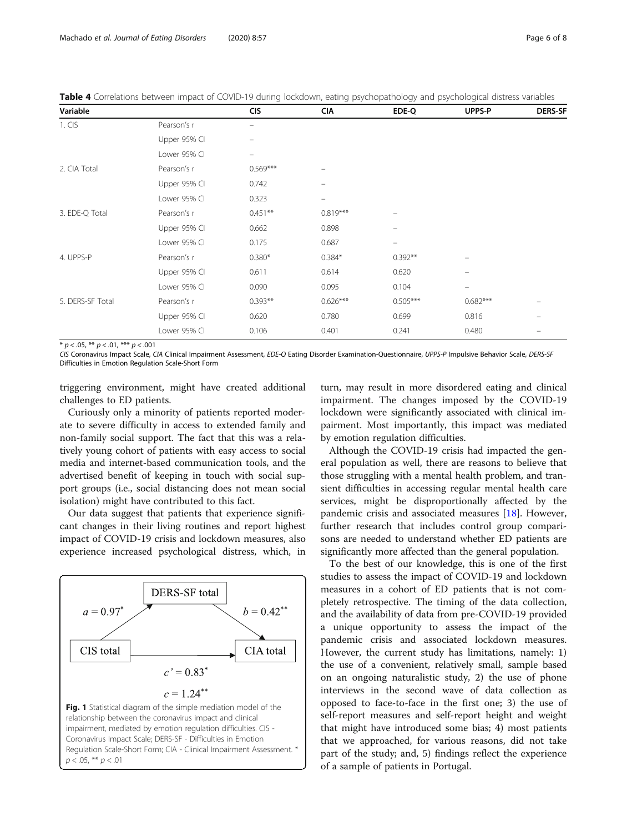| Variable         |              | <b>CIS</b>               | <b>CIA</b> | EDE-Q                          | UPPS-P                         | <b>DERS-SF</b>    |
|------------------|--------------|--------------------------|------------|--------------------------------|--------------------------------|-------------------|
| 1. CIS           | Pearson's r  | $\overline{\phantom{0}}$ |            |                                |                                |                   |
|                  | Upper 95% CI | $\qquad \qquad -$        |            |                                |                                |                   |
|                  | Lower 95% CI | $\overline{\phantom{m}}$ |            |                                |                                |                   |
| 2. CIA Total     | Pearson's r  | $0.569***$               | -          |                                |                                |                   |
|                  | Upper 95% CI | 0.742                    | -          |                                |                                |                   |
|                  | Lower 95% CI | 0.323                    | -          |                                |                                |                   |
| 3. EDE-Q Total   | Pearson's r  | $0.451***$               | $0.819***$ |                                |                                |                   |
|                  | Upper 95% CI | 0.662                    | 0.898      | $\qquad \qquad \longleftarrow$ |                                |                   |
|                  | Lower 95% CI | 0.175                    | 0.687      | $\overline{\phantom{m}}$       |                                |                   |
| 4. UPPS-P        | Pearson's r  | $0.380*$                 | $0.384*$   | $0.392**$                      |                                |                   |
|                  | Upper 95% CI | 0.611                    | 0.614      | 0.620                          | $\qquad \qquad \longleftarrow$ |                   |
|                  | Lower 95% CI | 0.090                    | 0.095      | 0.104                          | -                              |                   |
| 5. DERS-SF Total | Pearson's r  | $0.393**$                | $0.626***$ | $0.505***$                     | $0.682***$                     |                   |
|                  | Upper 95% CI | 0.620                    | 0.780      | 0.699                          | 0.816                          | $\qquad \qquad =$ |
|                  | Lower 95% CI | 0.106                    | 0.401      | 0.241                          | 0.480                          |                   |

<span id="page-5-0"></span>Table 4 Correlations between impact of COVID-19 during lockdown, eating psychopathology and psychological distress variables

\*  $p < .05$ , \*\*  $p < .01$ , \*\*\*  $p < .001$ 

CIS Coronavirus Impact Scale, CIA Clinical Impairment Assessment, EDE-Q Eating Disorder Examination-Questionnaire, UPPS-P Impulsive Behavior Scale, DERS-SF Difficulties in Emotion Regulation Scale-Short Form

triggering environment, might have created additional challenges to ED patients.

Curiously only a minority of patients reported moderate to severe difficulty in access to extended family and non-family social support. The fact that this was a relatively young cohort of patients with easy access to social media and internet-based communication tools, and the advertised benefit of keeping in touch with social support groups (i.e., social distancing does not mean social isolation) might have contributed to this fact.

Our data suggest that patients that experience significant changes in their living routines and report highest impact of COVID-19 crisis and lockdown measures, also experience increased psychological distress, which, in



turn, may result in more disordered eating and clinical impairment. The changes imposed by the COVID-19 lockdown were significantly associated with clinical impairment. Most importantly, this impact was mediated by emotion regulation difficulties.

Although the COVID-19 crisis had impacted the general population as well, there are reasons to believe that those struggling with a mental health problem, and transient difficulties in accessing regular mental health care services, might be disproportionally affected by the pandemic crisis and associated measures  $[18]$ . However, further research that includes control group comparisons are needed to understand whether ED patients are significantly more affected than the general population.

To the best of our knowledge, this is one of the first studies to assess the impact of COVID-19 and lockdown measures in a cohort of ED patients that is not completely retrospective. The timing of the data collection, and the availability of data from pre-COVID-19 provided a unique opportunity to assess the impact of the pandemic crisis and associated lockdown measures. However, the current study has limitations, namely: 1) the use of a convenient, relatively small, sample based on an ongoing naturalistic study, 2) the use of phone interviews in the second wave of data collection as opposed to face-to-face in the first one; 3) the use of self-report measures and self-report height and weight that might have introduced some bias; 4) most patients that we approached, for various reasons, did not take part of the study; and, 5) findings reflect the experience of a sample of patients in Portugal.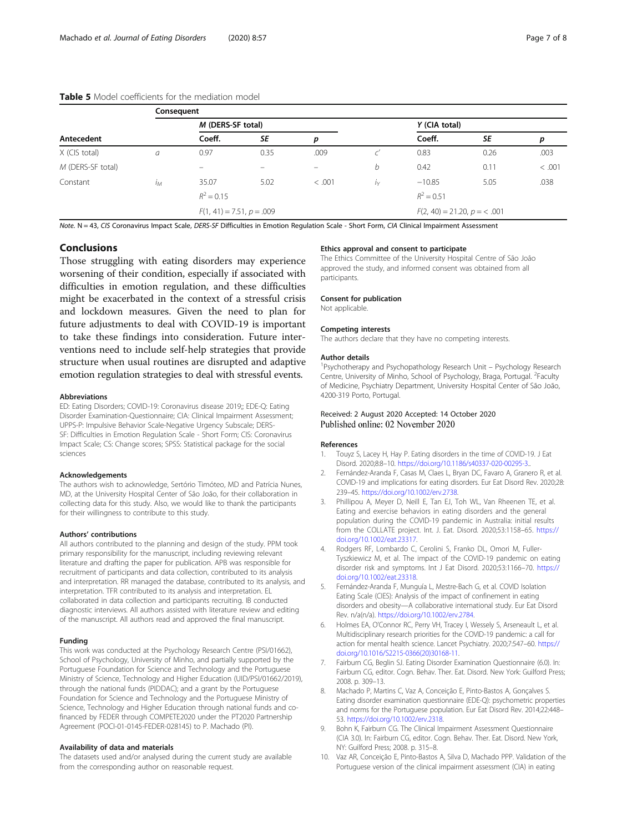|                   | Consequent        |                             |      |        |    |                               |      |        |  |
|-------------------|-------------------|-----------------------------|------|--------|----|-------------------------------|------|--------|--|
| Antecedent        |                   | M (DERS-SF total)           |      |        |    | Y (CIA total)                 |      |        |  |
|                   |                   | Coeff.                      | SE   | р      |    | Coeff.                        | SE   | р      |  |
| $X$ (CIS total)   | a                 | 0.97                        | 0.35 | .009   |    | 0.83                          | 0.26 | .003   |  |
| M (DERS-SF total) |                   | -                           | -    | -      | b. | 0.42                          | 0.11 | < .001 |  |
| Constant          | $I_{\mathcal{M}}$ | 35.07                       | 5.02 | < .001 | Ιv | $-10.85$                      | 5.05 | .038   |  |
|                   |                   | $R^2 = 0.15$                |      |        |    | $R^2 = 0.51$                  |      |        |  |
|                   |                   | $F(1, 41) = 7.51, p = .009$ |      |        |    | $F(2, 40) = 21.20, p = 6.001$ |      |        |  |

#### <span id="page-6-0"></span>Table 5 Model coefficients for the mediation model

Note. N = 43, CIS Coronavirus Impact Scale, DERS-SF Difficulties in Emotion Regulation Scale - Short Form, CIA Clinical Impairment Assessment

#### Conclusions

Those struggling with eating disorders may experience worsening of their condition, especially if associated with difficulties in emotion regulation, and these difficulties might be exacerbated in the context of a stressful crisis and lockdown measures. Given the need to plan for future adjustments to deal with COVID-19 is important to take these findings into consideration. Future interventions need to include self-help strategies that provide structure when usual routines are disrupted and adaptive emotion regulation strategies to deal with stressful events.

#### Abbreviations

ED: Eating Disorders; COVID-19: Coronavirus disease 2019;; EDE-Q: Eating Disorder Examination-Questionnaire; CIA: Clinical Impairment Assessment; UPPS-P: Impulsive Behavior Scale-Negative Urgency Subscale; DERS-SF: Difficulties in Emotion Regulation Scale - Short Form; CIS: Coronavirus Impact Scale; CS: Change scores; SPSS: Statistical package for the social sciences

#### Acknowledgements

The authors wish to acknowledge, Sertório Timóteo, MD and Patrícia Nunes, MD, at the University Hospital Center of São João, for their collaboration in collecting data for this study. Also, we would like to thank the participants for their willingness to contribute to this study.

#### Authors' contributions

All authors contributed to the planning and design of the study. PPM took primary responsibility for the manuscript, including reviewing relevant literature and drafting the paper for publication. APB was responsible for recruitment of participants and data collection, contributed to its analysis and interpretation. RR managed the database, contributed to its analysis, and interpretation. TFR contributed to its analysis and interpretation. EL collaborated in data collection and participants recruiting. IB conducted diagnostic interviews. All authors assisted with literature review and editing of the manuscript. All authors read and approved the final manuscript.

#### Funding

This work was conducted at the Psychology Research Centre (PSI/01662), School of Psychology, University of Minho, and partially supported by the Portuguese Foundation for Science and Technology and the Portuguese Ministry of Science, Technology and Higher Education (UID/PSI/01662/2019), through the national funds (PIDDAC); and a grant by the Portuguese Foundation for Science and Technology and the Portuguese Ministry of Science, Technology and Higher Education through national funds and cofinanced by FEDER through COMPETE2020 under the PT2020 Partnership Agreement (POCI-01-0145-FEDER-028145) to P. Machado (PI).

#### Availability of data and materials

The datasets used and/or analysed during the current study are available from the corresponding author on reasonable request.

#### Ethics approval and consent to participate

The Ethics Committee of the University Hospital Centre of São João approved the study, and informed consent was obtained from all participants.

#### Consent for publication

Not applicable.

#### Competing interests

The authors declare that they have no competing interests.

#### Author details

<sup>1</sup>Psychotherapy and Psychopathology Research Unit - Psychology Research Centre, University of Minho, School of Psychology, Braga, Portugal. <sup>2</sup>Faculty of Medicine, Psychiatry Department, University Hospital Center of São João, 4200-319 Porto, Portugal.

## Received: 2 August 2020 Accepted: 14 October 2020

#### References

- Touyz S, Lacey H, Hay P. Eating disorders in the time of COVID-19. J Eat Disord. 2020;8:8–10. [https://doi.org/10.1186/s40337-020-00295-3.](https://doi.org/10.1186/s40337-020-00295-3).
- 2. Fernández-Aranda F, Casas M, Claes L, Bryan DC, Favaro A, Granero R, et al. COVID-19 and implications for eating disorders. Eur Eat Disord Rev. 2020;28: 239–45. <https://doi.org/10.1002/erv.2738>.
- 3. Phillipou A, Meyer D, Neill E, Tan EJ, Toh WL, Van Rheenen TE, et al. Eating and exercise behaviors in eating disorders and the general population during the COVID-19 pandemic in Australia: initial results from the COLLATE project. Int. J. Eat. Disord. 2020;53:1158–65. [https://](https://doi.org/10.1002/eat.23317) [doi.org/10.1002/eat.23317.](https://doi.org/10.1002/eat.23317)
- Rodgers RF, Lombardo C, Cerolini S, Franko DL, Omori M, Fuller-Tyszkiewicz M, et al. The impact of the COVID-19 pandemic on eating disorder risk and symptoms. Int J Eat Disord. 2020;53:1166–70. [https://](https://doi.org/10.1002/eat.23318) [doi.org/10.1002/eat.23318.](https://doi.org/10.1002/eat.23318)
- 5. Fernández-Aranda F, Munguía L, Mestre-Bach G, et al. COVID Isolation Eating Scale (CIES): Analysis of the impact of confinement in eating disorders and obesity—A collaborative international study. Eur Eat Disord Rev. n/a(n/a). [https://doi.org/10.1002/erv.2784.](https://doi.org/10.1002/erv.2784)
- 6. Holmes EA, O'Connor RC, Perry VH, Tracey I, Wessely S, Arseneault L, et al. Multidisciplinary research priorities for the COVID-19 pandemic: a call for action for mental health science. Lancet Psychiatry. 2020;7:547–60. [https://](https://doi.org/10.1016/S2215-0366(20)30168-11) [doi.org/10.1016/S2215-0366\(20\)30168-11](https://doi.org/10.1016/S2215-0366(20)30168-11).
- 7. Fairburn CG, Beglin SJ. Eating Disorder Examination Questionnaire (6.0). In: Fairburn CG, editor. Cogn. Behav. Ther. Eat. Disord. New York: Guilford Press; 2008. p. 309–13.
- 8. Machado P, Martins C, Vaz A, Conceição E, Pinto-Bastos A, Gonçalves S. Eating disorder examination questionnaire (EDE-Q): psychometric properties and norms for the Portuguese population. Eur Eat Disord Rev. 2014;22:448– 53. [https://doi.org/10.1002/erv.2318.](https://doi.org/10.1002/erv.2318)
- 9. Bohn K, Fairburn CG. The Clinical Impairment Assessment Questionnaire (CIA 3.0). In: Fairburn CG, editor. Cogn. Behav. Ther. Eat. Disord. New York, NY: Guilford Press; 2008. p. 315–8.
- 10. Vaz AR, Conceição E, Pinto-Bastos A, Silva D, Machado PPP. Validation of the Portuguese version of the clinical impairment assessment (CIA) in eating